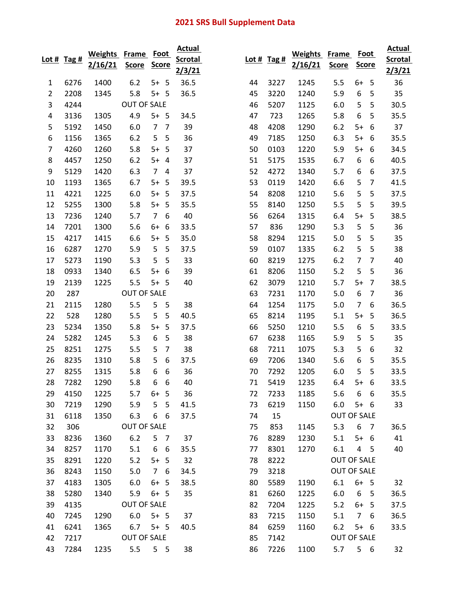## 2021 SRS Bull Supplement Data

|                | Lot # $Tag#$ | <b>Weights</b><br>2/16/21 | Frame<br><b>Score</b> | <b>Foot</b><br><b>Score</b> |                | <b>Actual</b><br><b>Scrotal</b> |    | Lot # $Tag#$ | <b>Weights</b><br>2/16/21 | <b>Frame</b><br><b>Score</b> | <b>Foot</b><br><b>Score</b> |                | <b>Actual</b><br><b>Scrotal</b> |
|----------------|--------------|---------------------------|-----------------------|-----------------------------|----------------|---------------------------------|----|--------------|---------------------------|------------------------------|-----------------------------|----------------|---------------------------------|
|                |              |                           |                       |                             |                | 2/3/21                          |    |              |                           |                              |                             |                | 2/3/21                          |
| 1              | 6276         | 1400                      | 6.2                   | 5+                          | 5              | 36.5                            | 44 | 3227         | 1245                      | 5.5                          | $6+$                        | 5              | 36                              |
| $\overline{2}$ | 2208         | 1345                      | 5.8                   | $5+$                        | 5              | 36.5                            | 45 | 3220         | 1240                      | 5.9                          | 6                           | 5              | 35                              |
| 3              | 4244         |                           | <b>OUT OF SALE</b>    |                             |                |                                 | 46 | 5207         | 1125                      | 6.0                          | 5                           | 5              | 30.5                            |
| 4              | 3136         | 1305                      | 4.9                   | $5+ 5$                      |                | 34.5                            | 47 | 723          | 1265                      | 5.8                          | 6                           | 5              | 35.5                            |
| 5              | 5192         | 1450                      | 6.0                   | $\overline{7}$              | $\overline{7}$ | 39                              | 48 | 4208         | 1290                      | 6.2                          | $5+$                        | 6              | 37                              |
| 6              | 1156         | 1365                      | 6.2                   | 5                           | 5              | 36                              | 49 | 7185         | 1250                      | 6.3                          | $5+$                        | 6              | 35.5                            |
| $\overline{7}$ | 4260         | 1260                      | 5.8                   | $5+$                        | 5              | 37                              | 50 | 0103         | 1220                      | 5.9                          | $5+$                        | 6              | 34.5                            |
| 8              | 4457         | 1250                      | 6.2                   | $5+$                        | $\overline{4}$ | 37                              | 51 | 5175         | 1535                      | 6.7                          | 6                           | 6              | 40.5                            |
| 9              | 5129         | 1420                      | 6.3                   | $\overline{7}$              | 4              | 37                              | 52 | 4272         | 1340                      | 5.7                          | 6                           | 6              | 37.5                            |
| 10             | 1193         | 1365                      | 6.7                   | $5+$                        | 5              | 39.5                            | 53 | 0119         | 1420                      | 6.6                          | 5                           | 7              | 41.5                            |
| 11             | 4221         | 1225                      | 6.0                   | $5+$                        | 5              | 37.5                            | 54 | 8208         | 1210                      | 5.6                          | 5                           | 5              | 37.5                            |
| 12             | 5255         | 1300                      | 5.8                   | $5+$                        | 5              | 35.5                            | 55 | 8140         | 1250                      | 5.5                          | 5                           | 5              | 39.5                            |
| 13             | 7236         | 1240                      | 5.7                   | $\overline{7}$              | 6              | 40                              | 56 | 6264         | 1315                      | 6.4                          | $5+$                        | 5              | 38.5                            |
| 14             | 7201         | 1300                      | 5.6                   | $6+$                        | 6              | 33.5                            | 57 | 836          | 1290                      | 5.3                          | 5                           | 5              | 36                              |
| 15             | 4217         | 1415                      | 6.6                   | $5+$                        | 5              | 35.0                            | 58 | 8294         | 1215                      | 5.0                          | 5                           | 5              | 35                              |
| 16             | 6287         | 1270                      | 5.9                   | 5                           | 5              | 37.5                            | 59 | 0107         | 1335                      | 6.2                          | 5                           | 5              | 38                              |
| 17             | 5273         | 1190                      | 5.3                   | 5                           | 5              | 33                              | 60 | 8219         | 1275                      | 6.2                          | 7                           | 7              | 40                              |
| 18             | 0933         | 1340                      | 6.5                   | $5+$                        | 6              | 39                              | 61 | 8206         | 1150                      | 5.2                          | 5                           | 5              | 36                              |
| 19             | 2139         | 1225                      | 5.5                   | $5+$                        | 5              | 40                              | 62 | 3079         | 1210                      | 5.7                          | $5+$                        | $\overline{7}$ | 38.5                            |
| 20             | 287          |                           | <b>OUT OF SALE</b>    |                             |                |                                 | 63 | 7231         | 1170                      | 5.0                          | 6                           | 7              | 36                              |
| 21             | 2115         | 1280                      | 5.5                   | 5                           | 5              | 38                              | 64 | 1254         | 1175                      | 5.0                          | $\overline{7}$              | 6              | 36.5                            |
| 22             | 528          | 1280                      | 5.5                   | 5                           | 5              | 40.5                            | 65 | 8214         | 1195                      | 5.1                          | $5+$                        | 5              | 36.5                            |
| 23             | 5234         | 1350                      | 5.8                   | $5+$                        | 5              | 37.5                            | 66 | 5250         | 1210                      | 5.5                          | 6                           | 5              | 33.5                            |
| 24             | 5282         | 1245                      | 5.3                   | 6                           | 5              | 38                              | 67 | 6238         | 1165                      | 5.9                          | 5                           | 5              | 35                              |
| 25             | 8251         | 1275                      | 5.5                   | 5                           | $\overline{7}$ | 38                              | 68 | 7211         | 1075                      | 5.3                          | 5                           | 6              | 32                              |
| 26             | 8235         | 1310                      | 5.8                   | 5                           | 6              | 37.5                            | 69 | 7206         | 1340                      | 5.6                          | 6                           | 5              | 35.5                            |
| 27             | 8255         | 1315                      | 5.8                   | 6                           | 6              | 36                              | 70 | 7292         | 1205                      | 6.0                          | 5                           | 5              | 33.5                            |
| 28             | 7282         | 1290                      | 5.8                   | 6                           | 6              | 40                              | 71 | 5419         | 1235                      | 6.4                          | $5+$                        | 6              | 33.5                            |
| 29             | 4150         | 1225                      | 5.7                   | $6+$                        | 5              | 36                              | 72 | 7233         | 1185                      | 5.6                          | 6                           | 6              | 35.5                            |
| 30             | 7219         | 1290                      | 5.9                   | 5                           | 5              | 41.5                            | 73 | 6219         | 1150                      | 6.0                          | $5+ 6$                      |                | 33                              |
| 31             | 6118         | 1350                      | 6.3                   | 6 6                         |                | 37.5                            | 74 | 15           |                           | OUT OF SALE                  |                             |                |                                 |
| 32             | 306          |                           | <b>OUT OF SALE</b>    |                             |                |                                 | 75 | 853          | 1145                      | 5.3                          | 6                           | 7              | 36.5                            |
| 33             | 8236         | 1360                      | 6.2                   | 5                           | $\overline{7}$ | 37                              | 76 | 8289         | 1230                      | 5.1                          | $5+ 6$                      |                | 41                              |
| 34             | 8257         | 1170                      | 5.1                   | 6                           | 6              | 35.5                            | 77 | 8301         | 1270                      | 6.1                          | 4                           | 5              | 40                              |
| 35             | 8291         | 1220                      | 5.2                   | $5+ 5$                      |                | 32                              | 78 | 8222         |                           | <b>OUT OF SALE</b>           |                             |                |                                 |
| 36             | 8243         | 1150                      | 5.0                   | 7 <sup>7</sup>              | 6              | 34.5                            | 79 | 3218         |                           | OUT OF SALE                  |                             |                |                                 |
| 37             | 4183         | 1305                      | 6.0                   | $6+ 5$                      |                | 38.5                            | 80 | 5589         | 1190                      | 6.1                          | $6+ 5$                      |                | 32                              |
| 38             | 5280         | 1340                      | 5.9                   | $6+ 5$                      |                | 35                              | 81 | 6260         | 1225                      | 6.0                          | 6                           | 5              | 36.5                            |
| 39             | 4135         |                           | <b>OUT OF SALE</b>    |                             |                |                                 | 82 | 7204         | 1225                      | 5.2                          | $6+$                        | 5              | 37.5                            |
| 40             | 7245         | 1290                      | 6.0                   | $5 + 5$                     |                | 37                              | 83 | 7215         | 1150                      | 5.1                          | $\overline{7}$              | 6              | 36.5                            |
| 41             | 6241         | 1365                      | 6.7                   | $5+ 5$                      |                | 40.5                            | 84 | 6259         | 1160                      | 6.2                          | $5+ 6$                      |                | 33.5                            |
| 42             | 7217         |                           | <b>OUT OF SALE</b>    |                             |                |                                 | 85 | 7142         |                           | OUT OF SALE                  |                             |                |                                 |
| 43             | 7284         | 1235                      | 5.5                   | $5\quad 5$                  |                | 38                              | 86 | 7226         | 1100                      | 5.7                          | $5\quad 6$                  |                | 32                              |
|                |              |                           |                       |                             |                |                                 |    |              |                           |                              |                             |                |                                 |